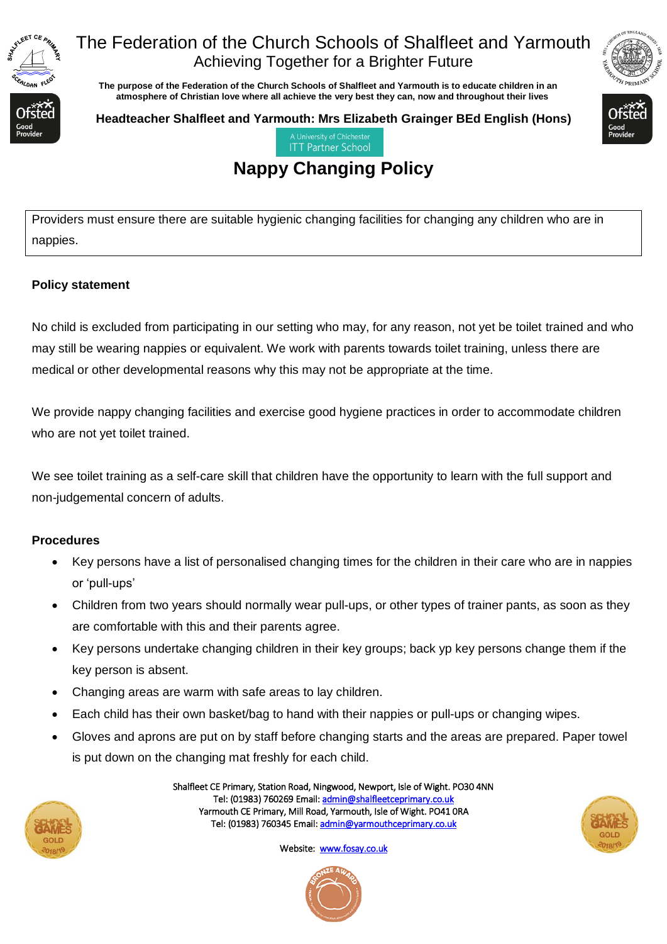

## The Federation of the Church Schools of Shalfleet and Yarmouth Achieving Together for a Brighter Future

 **The purpose of the Federation of the Church Schools of Shalfleet and Yarmouth is to educate children in an atmosphere of Christian love where all achieve the very best they can, now and throughout their lives** 



**Headteacher Shalfleet and Yarmouth: Mrs Elizabeth Grainger BEd English (Hons)**



**ITT Partner School** 

# **Nappy Changing Policy**

Providers must ensure there are suitable hygienic changing facilities for changing any children who are in nappies.

#### **Policy statement**

No child is excluded from participating in our setting who may, for any reason, not yet be toilet trained and who may still be wearing nappies or equivalent. We work with parents towards toilet training, unless there are medical or other developmental reasons why this may not be appropriate at the time.

We provide nappy changing facilities and exercise good hygiene practices in order to accommodate children who are not yet toilet trained.

We see toilet training as a self-care skill that children have the opportunity to learn with the full support and non-judgemental concern of adults.

#### **Procedures**

- Key persons have a list of personalised changing times for the children in their care who are in nappies or 'pull-ups'
- Children from two years should normally wear pull-ups, or other types of trainer pants, as soon as they are comfortable with this and their parents agree.
- Key persons undertake changing children in their key groups; back yp key persons change them if the key person is absent.
- Changing areas are warm with safe areas to lay children.
- Each child has their own basket/bag to hand with their nappies or pull-ups or changing wipes.
- Gloves and aprons are put on by staff before changing starts and the areas are prepared. Paper towel is put down on the changing mat freshly for each child.



Shalfleet CE Primary, Station Road, Ningwood, Newport, Isle of Wight. PO30 4NN Tel: (01983) 760269 Email[: admin@shalfleetceprimary.co.uk](mailto:admin@shalfleetceprimary.co.uk)  Yarmouth CE Primary, Mill Road, Yarmouth, Isle of Wight. PO41 0RA Tel: (01983) 760345 Email: admin@yarmouthceprimary.co.uk



Website: [www.fosay.co.uk](http://www.fosay.co.uk/)